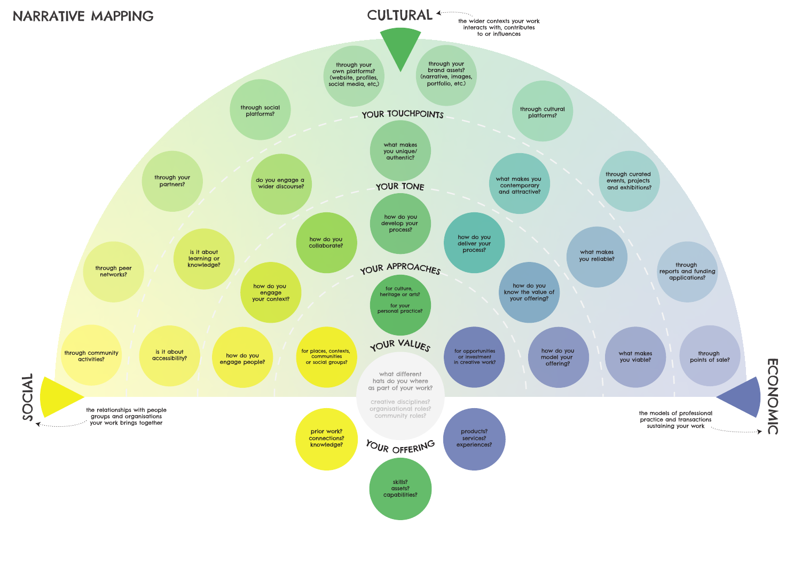capabilities?

what makes

**ECONOMIC** ECONOMIC

the models of professional practice and transactions rudities and manufactors.<br>sustaining your work



through points of sale?

through reports and funding applications?

through curated events, projects and exhibitions?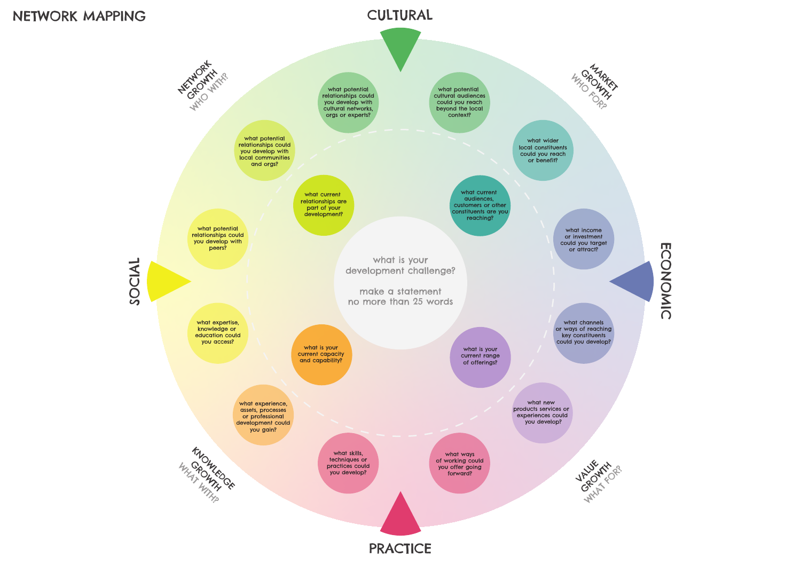# **ECONOMIC** ECONOMIC

## CULTURAL



**PRACTICE** 

#### NETWORK MAPPING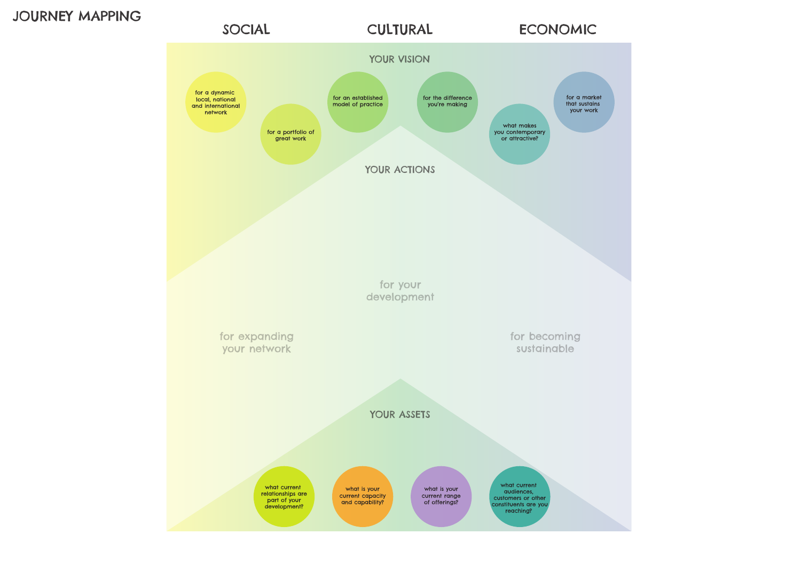

### JOURNEY MAPPING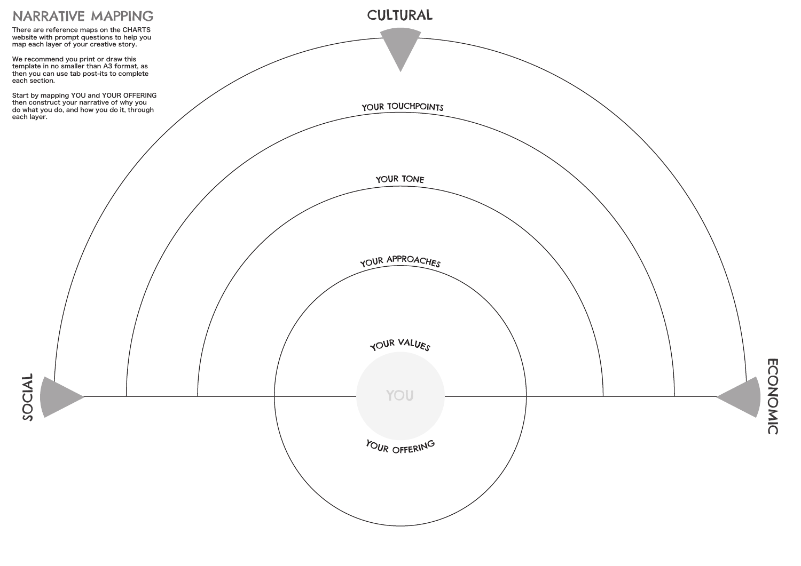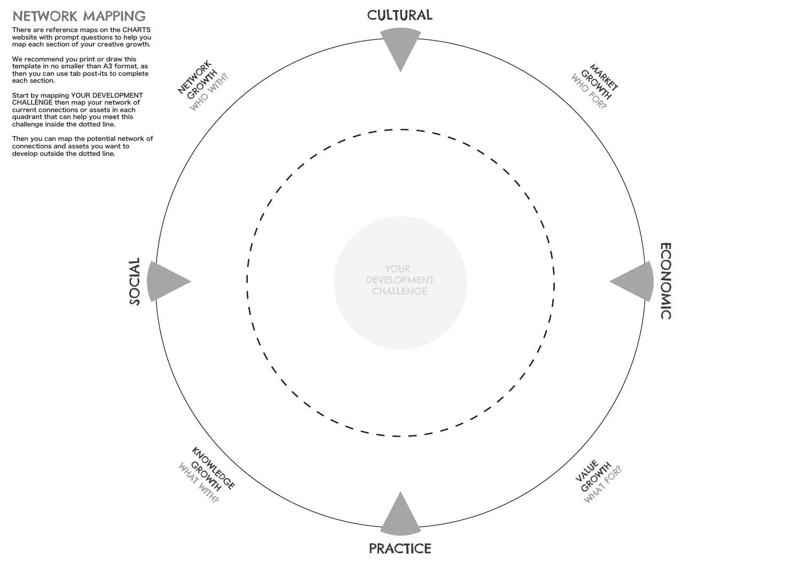

There are reference maps on the CHARTS website with prompt questions to help you map each section of your creative growth.

We recommend you print or draw this template in no smaller than A3 format, as then you can use tab post-its to complete each section.

Start by mapping YOUR DEVELOPMENT CHALLENGE then map your network of current connections or assets in each quadrant that can help you meet this challenge inside the dotted line.

Then you can map the potential network of connections and assets you want to develop outside the dotted line.

### NETWORK MAPPING